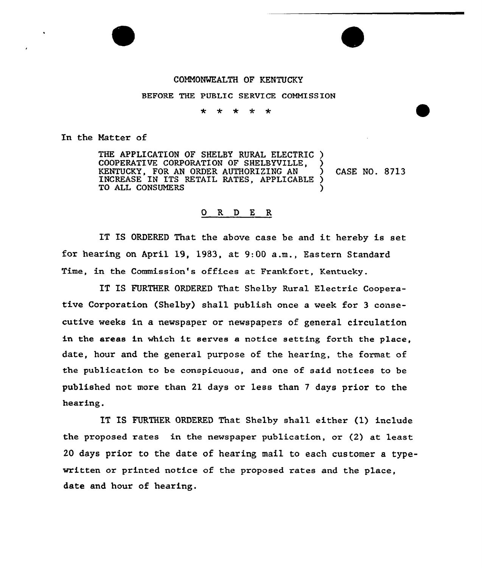## COMMONWEALTH OF KENTUCKY

BEFORE THE PUBLIC SERVICE COMMISSION

 $\ddot{\phantom{a}}$ \* \* 4  $\star$ 

In the Matter of

THE APPLICATION OF SHELBY RURAL ELECTRIC ) COOPERATIVE CORPORATION OF SHELBYVILLE, ) KENTUCKY, FOR AN ORDER AUTHORIZING AN (5) CASE NO. 8713<br>INCREASE IN ITS RETAIL RATES, APPLICABLE ) INCREASE IN ITS RETAIL RATES, APPLICABLE ) TO ALL CONSUMERS

## 0 R <sup>D</sup> E R

IT IS ORDERED That the above case be and it hereby is set for hearing on April 19, 1983, at 9:DD a.m., Eastern Standard Time, in the Commission's offices at Frankfort, Kentucky.

IT IS FURTHER ORDERED That Shelby Rural Electric Cooperative Corporation (Shelby) shall publish once a week for 3 consecutive weeks in a newspaper or newspapers of general circulation in the areas in which it serves a notice setting forth the place, date, hour and the general purpose of the hearing, the format of the publication to be conspicuous, and one of said notices to be published not more than 21 days or less than <sup>7</sup> days prior to the hearing.

IT IS FURTHER ORDERED That Shelby shall either (1) include the proposed rates in the newspaper publication, or (2) at least 20 days prior to the date of hearing mail to each customer a typewritten or printed notice of the proposed rates and the place, date and hour of hearing.